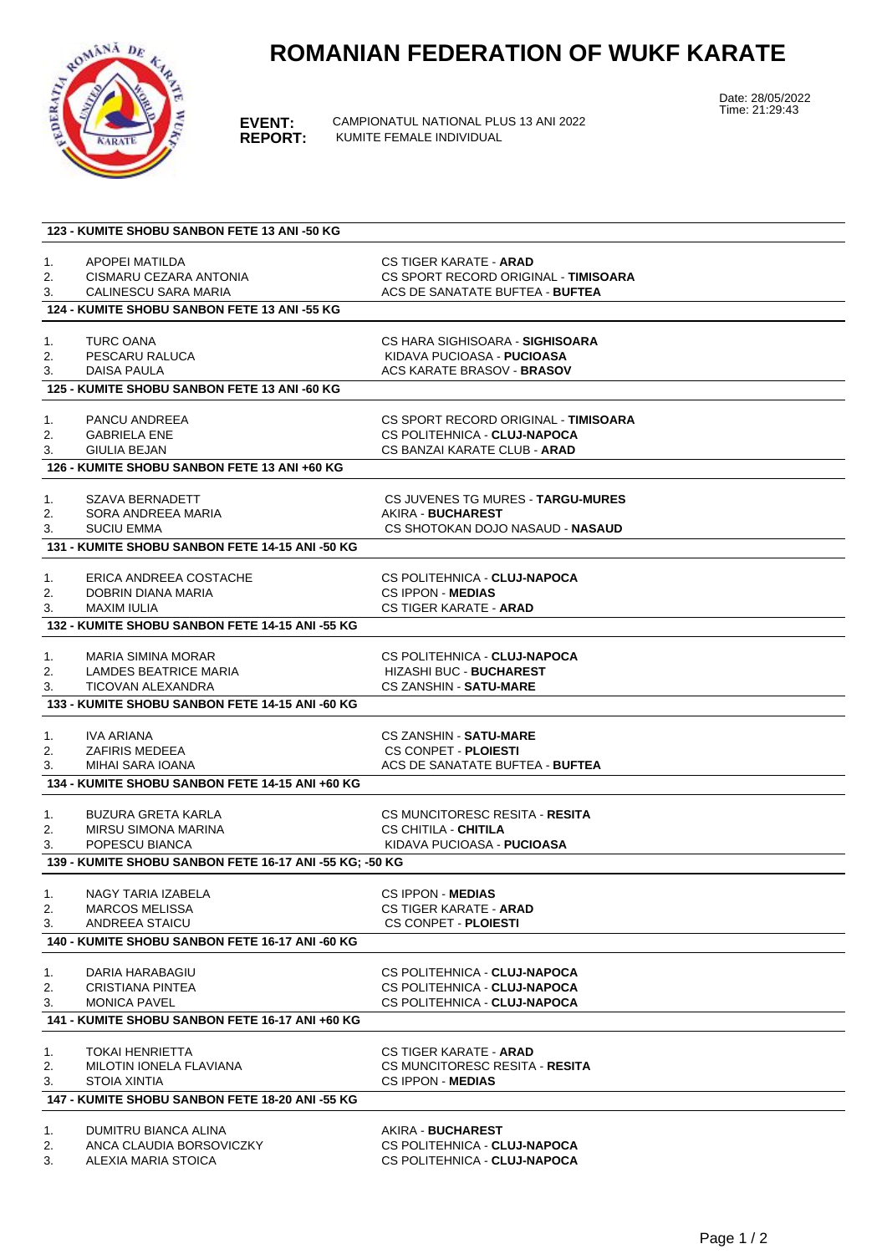## **ROMANIAN FEDERATION OF WUKF KARATE**



**EVENT:** CAMPIONATUL NATIONAL PLUS 13 ANI 2022 **REPORT:** KUMITE FEMALE INDIVIDUAL

Date: 28/05/2022 Time: 21:29:43

| 123 - KUMITE SHOBU SANBON FETE 13 ANI -50 KG            |                                                 |                                        |  |
|---------------------------------------------------------|-------------------------------------------------|----------------------------------------|--|
|                                                         |                                                 |                                        |  |
| 1.                                                      | APOPEI MATILDA                                  | <b>CS TIGER KARATE - ARAD</b>          |  |
| 2.                                                      | CISMARU CEZARA ANTONIA                          | CS SPORT RECORD ORIGINAL - TIMISOARA   |  |
| 3.                                                      | CALINESCU SARA MARIA                            | ACS DE SANATATE BUFTEA - BUFTEA        |  |
|                                                         | 124 - KUMITE SHOBU SANBON FETE 13 ANI -55 KG    |                                        |  |
|                                                         |                                                 |                                        |  |
| 1.                                                      | <b>TURC OANA</b>                                | CS HARA SIGHISOARA - <b>SIGHISOARA</b> |  |
| 2.                                                      | PESCARU RALUCA                                  | KIDAVA PUCIOASA - <b>PUCIOASA</b>      |  |
| 3.                                                      | DAISA PAULA                                     | ACS KARATE BRASOV - <b>BRASOV</b>      |  |
|                                                         | 125 - KUMITE SHOBU SANBON FETE 13 ANI -60 KG    |                                        |  |
|                                                         |                                                 |                                        |  |
| 1.                                                      | PANCU ANDREEA                                   | CS SPORT RECORD ORIGINAL - TIMISOARA   |  |
| 2.                                                      | <b>GABRIELA ENE</b>                             | CS POLITEHNICA - CLUJ-NAPOCA           |  |
| 3.                                                      | GIULIA BEJAN                                    | CS BANZAI KARATE CLUB - <b>ARAD</b>    |  |
|                                                         | 126 - KUMITE SHOBU SANBON FETE 13 ANI +60 KG    |                                        |  |
|                                                         |                                                 |                                        |  |
| 1.                                                      | SZAVA BERNADETT                                 | CS JUVENES TG MURES - TARGU-MURES      |  |
| 2.                                                      | SORA ANDREEA MARIA                              | AKIRA - BUCHAREST                      |  |
| 3.                                                      | <b>SUCIU EMMA</b>                               | CS SHOTOKAN DOJO NASAUD - NASAUD       |  |
|                                                         | 131 - KUMITE SHOBU SANBON FETE 14-15 ANI -50 KG |                                        |  |
|                                                         |                                                 |                                        |  |
| 1.                                                      | ERICA ANDREEA COSTACHE                          | CS POLITEHNICA - CLUJ-NAPOCA           |  |
| 2.                                                      | DOBRIN DIANA MARIA                              | <b>CS IPPON MEDIAS</b>                 |  |
| 3.                                                      | <b>MAXIM IULIA</b>                              | <b>CS TIGER KARATE - ARAD</b>          |  |
|                                                         | 132 - KUMITE SHOBU SANBON FETE 14-15 ANI -55 KG |                                        |  |
|                                                         |                                                 |                                        |  |
| 1.                                                      | <b>MARIA SIMINA MORAR</b>                       | CS POLITEHNICA - CLUJ-NAPOCA           |  |
| 2.                                                      | LAMDES BEATRICE MARIA                           | <b>HIZASHI BUC - BUCHAREST</b>         |  |
| 3.                                                      | <b>TICOVAN ALEXANDRA</b>                        | <b>CS ZANSHIN - SATU-MARE</b>          |  |
|                                                         | 133 - KUMITE SHOBU SANBON FETE 14-15 ANI -60 KG |                                        |  |
|                                                         |                                                 |                                        |  |
| 1.                                                      | IVA ARIANA                                      | CS ZANSHIN - <b>SATU-MARE</b>          |  |
| 2.                                                      | <b>ZAFIRIS MEDEEA</b>                           | <b>CS CONPET - PLOIESTI</b>            |  |
| 3.                                                      | MIHAI SARA IOANA                                | ACS DE SANATATE BUFTEA - BUFTEA        |  |
|                                                         | 134 - KUMITE SHOBU SANBON FETE 14-15 ANI +60 KG |                                        |  |
|                                                         |                                                 |                                        |  |
| 1.                                                      | BUZURA GRETA KARLA                              | CS MUNCITORESC RESITA - RESITA         |  |
| 2.                                                      | MIRSU SIMONA MARINA                             | <b>CS CHITILA - CHITILA</b>            |  |
| 3.                                                      | POPESCU BIANCA                                  | KIDAVA PUCIOASA - <b>PUCIOASA</b>      |  |
|                                                         |                                                 |                                        |  |
| 139 - KUMITE SHOBU SANBON FETE 16-17 ANI -55 KG; -50 KG |                                                 |                                        |  |
| 1.                                                      | NAGY TARIA IZABELA                              | CS IPPON - MEDIAS                      |  |
| 2.                                                      | <b>MARCOS MELISSA</b>                           | CS TIGER KARATE - <b>ARAD</b>          |  |
| 3.                                                      | ANDREEA STAICU                                  | <b>CS CONPET - PLOIESTI</b>            |  |
|                                                         | 140 - KUMITE SHOBU SANBON FETE 16-17 ANI -60 KG |                                        |  |
|                                                         |                                                 |                                        |  |
| 1.                                                      | DARIA HARABAGIU                                 | CS POLITEHNICA - CLUJ-NAPOCA           |  |
| 2.                                                      | CRISTIANA PINTEA                                | CS POLITEHNICA - CLUJ-NAPOCA           |  |
| 3.                                                      | <b>MONICA PAVEL</b>                             | CS POLITEHNICA - CLUJ-NAPOCA           |  |
|                                                         | 141 - KUMITE SHOBU SANBON FETE 16-17 ANI +60 KG |                                        |  |
|                                                         |                                                 |                                        |  |
| 1.                                                      | <b>TOKAI HENRIETTA</b>                          | CS TIGER KARATE - <b>ARAD</b>          |  |
| 2.                                                      | MILOTIN IONELA FLAVIANA                         | CS MUNCITORESC RESITA - RESITA         |  |
| 3.                                                      | <b>STOIA XINTIA</b>                             | <b>CS IPPON - MEDIAS</b>               |  |
|                                                         | 147 - KUMITE SHOBU SANBON FETE 18-20 ANI -55 KG |                                        |  |
|                                                         |                                                 |                                        |  |
| 1.                                                      | DUMITRU BIANCA ALINA                            | AKIRA - BUCHAREST                      |  |
| 2.                                                      | ANCA CLAUDIA BORSOVICZKY                        | CS POLITEHNICA - CLUJ-NAPOCA           |  |
| 3.                                                      | ALEXIA MARIA STOICA                             | CS POLITEHNICA - CLUJ-NAPOCA           |  |